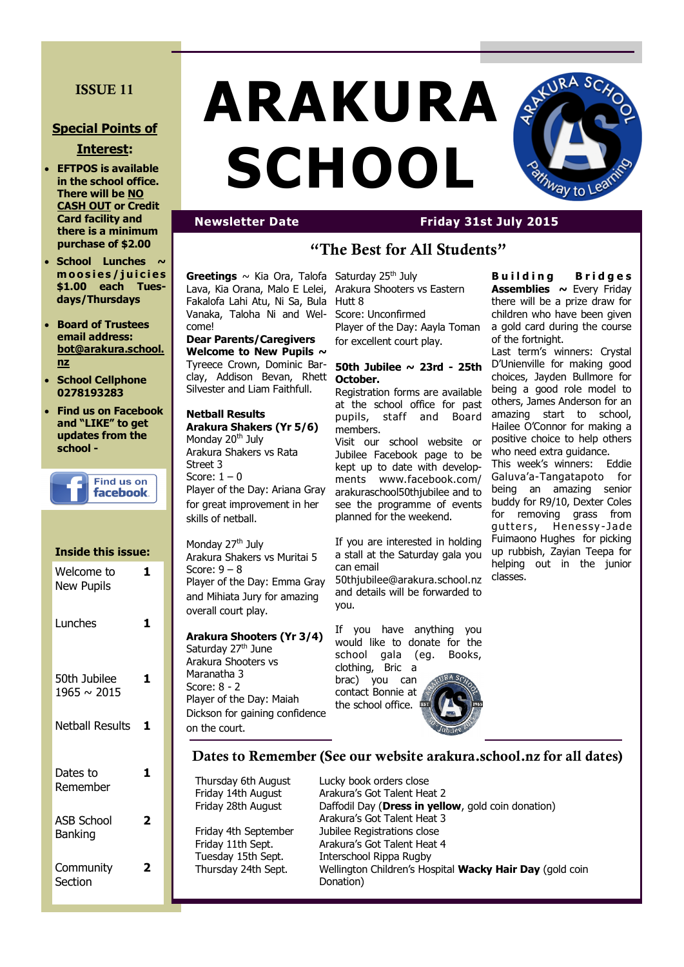## **ISSUE 11**

### **Special Points of**

#### **Interest:**

- **EFTPOS is available in the school office. There will be NO CASH OUT or Credit Card facility and there is a minimum purchase of \$2.00**
- **School Lunches ~ m o o s i e s / j u i c i e s \$1.00 each Tuesdays/Thursdays**
- **Board of Trustees email address: bot@arakura.school. nz**
- **School Cellphone 0278193283**
- **Find us on Facebook and "LIKE" to get updates from the school -**



| <b>Inside this issue:</b>           |   |
|-------------------------------------|---|
| Welcome to<br><b>New Pupils</b>     | 1 |
| Lunches                             | 1 |
| 50th Jubilee<br>$1965 \sim 2015$    | 1 |
| <b>Netball Results</b>              | 1 |
| Dates to<br>Remember                | 1 |
| <b>ASB School</b><br><b>Banking</b> | 2 |
| Community<br>Section                | 7 |

# **ARAKURA SCHOOL**



# **Newsletter Date Friday 31st July 2015**

# **"The Best for All Students"**

Greetings ~ Kia Ora, Talofa Saturday 25<sup>th</sup> July Lava, Kia Orana, Malo E Lelei, Fakalofa Lahi Atu, Ni Sa, Bula Vanaka, Taloha Ni and Welcome!

**Dear Parents/Caregivers Welcome to New Pupils ~**  Tyreece Crown, Dominic Barclay, Addison Bevan, Rhett Silvester and Liam Faithfull.

#### **Netball Results**

**Arakura Shakers (Yr 5/6)** Monday 20<sup>th</sup> July Arakura Shakers vs Rata Street 3 Score:  $1 - 0$ Player of the Day: Ariana Gray for great improvement in her skills of netball.

Monday 27<sup>th</sup> July Arakura Shakers vs Muritai 5 Score:  $9 - 8$ Player of the Day: Emma Gray and Mihiata Jury for amazing overall court play.

**Arakura Shooters (Yr 3/4)** Saturday 27<sup>th</sup> June Arakura Shooters vs Maranatha 3 Score: 8 - 2 Player of the Day: Maiah Dickson for gaining confidence on the court.

Arakura Shooters vs Eastern Hutt 8

Score: Unconfirmed Player of the Day: Aayla Toman for excellent court play.

#### **50th Jubilee ~ 23rd - 25th October.**

Registration forms are available at the school office for past pupils, staff and Board members.

Visit our school website or Jubilee Facebook page to be kept up to date with developments www.facebook.com/ arakuraschool50thjubilee and to see the programme of events planned for the weekend.

If you are interested in holding a stall at the Saturday gala you can email 50thjubilee@arakura.school.nz and details will be forwarded to

you.

If you have anything you would like to donate for the school gala (eg. Books, clothing, Bric a brac) you can contact Bonnie at the school office.

**B u i l d i n g B r i d g e s Assemblies ~** Every Friday there will be a prize draw for children who have been given a gold card during the course of the fortnight.

Last term's winners: Crystal D'Unienville for making good choices, Jayden Bullmore for being a good role model to others, James Anderson for an amazing start to school, Hailee O'Connor for making a positive choice to help others who need extra guidance.

This week's winners: Eddie Galuva'a-Tangatapoto for being an amazing senior buddy for R9/10, Dexter Coles for removing grass from gutters, Henessy-Jade Fuimaono Hughes for picking up rubbish, Zayian Teepa for helping out in the junior classes.

**Dates to Remember (See our website arakura.school.nz for all dates)**

Thursday 6th August Lucky book orders close

Friday 14th August Arakura's Got Talent Heat 2 Friday 28th August Daffodil Day (**Dress in yellow**, gold coin donation) Arakura's Got Talent Heat 3 Friday 4th September Jubilee Registrations close Friday 11th Sept. Arakura's Got Talent Heat 4 Tuesday 15th Sept. Interschool Rippa Rugby Thursday 24th Sept. Wellington Children's Hospital **Wacky Hair Day** (gold coin Donation)